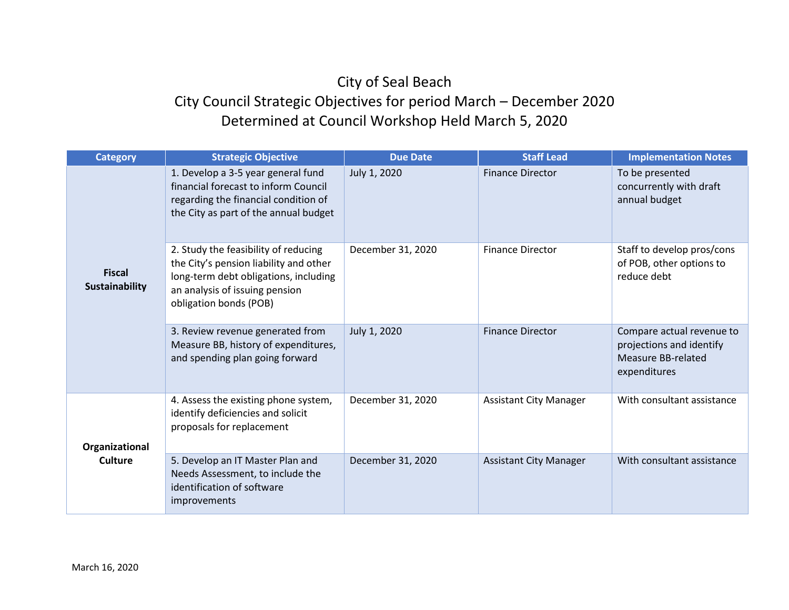## City of Seal Beach City Council Strategic Objectives for period March – December 2020 Determined at Council Workshop Held March 5, 2020

| <b>Category</b>                  | <b>Strategic Objective</b>                                                                                                                                                          | <b>Due Date</b>   | <b>Staff Lead</b>             | <b>Implementation Notes</b>                                                                 |
|----------------------------------|-------------------------------------------------------------------------------------------------------------------------------------------------------------------------------------|-------------------|-------------------------------|---------------------------------------------------------------------------------------------|
| <b>Fiscal</b><br>Sustainability  | 1. Develop a 3-5 year general fund<br>financial forecast to inform Council<br>regarding the financial condition of<br>the City as part of the annual budget                         | July 1, 2020      | <b>Finance Director</b>       | To be presented<br>concurrently with draft<br>annual budget                                 |
|                                  | 2. Study the feasibility of reducing<br>the City's pension liability and other<br>long-term debt obligations, including<br>an analysis of issuing pension<br>obligation bonds (POB) | December 31, 2020 | <b>Finance Director</b>       | Staff to develop pros/cons<br>of POB, other options to<br>reduce debt                       |
|                                  | 3. Review revenue generated from<br>Measure BB, history of expenditures,<br>and spending plan going forward                                                                         | July 1, 2020      | <b>Finance Director</b>       | Compare actual revenue to<br>projections and identify<br>Measure BB-related<br>expenditures |
| Organizational<br><b>Culture</b> | 4. Assess the existing phone system,<br>identify deficiencies and solicit<br>proposals for replacement                                                                              | December 31, 2020 | <b>Assistant City Manager</b> | With consultant assistance                                                                  |
|                                  | 5. Develop an IT Master Plan and<br>Needs Assessment, to include the<br>identification of software<br>improvements                                                                  | December 31, 2020 | <b>Assistant City Manager</b> | With consultant assistance                                                                  |